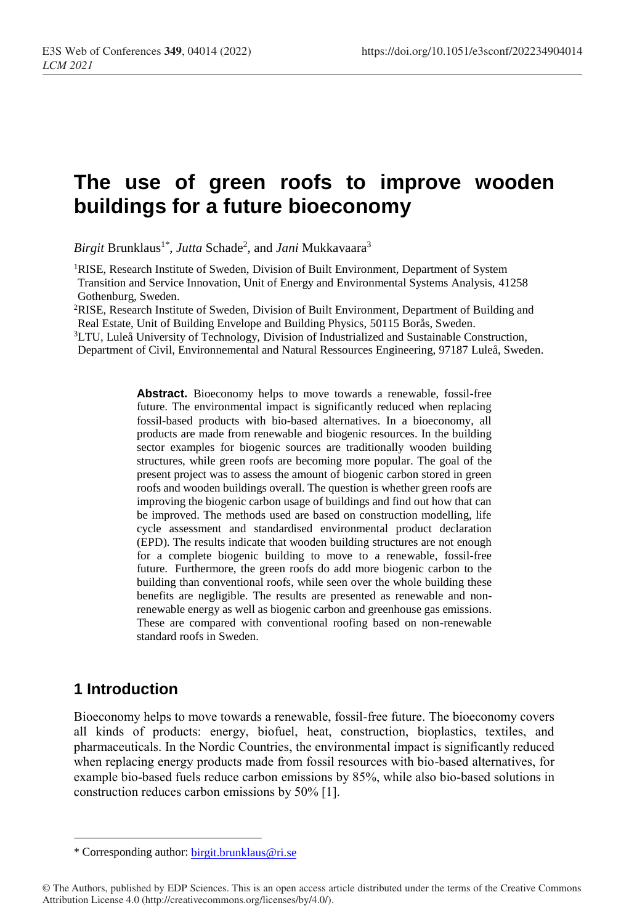# **The use of green roofs to improve wooden buildings for a future bioeconomy**

*Birgit* Brunklaus<sup>1\*</sup>, *Jutta* Schade<sup>2</sup>, and *Jani* Mukkavaara<sup>3</sup>

<sup>1</sup>RISE, Research Institute of Sweden, Division of Built Environment, Department of System Transition and Service Innovation, Unit of Energy and Environmental Systems Analysis, 41258 Gothenburg, Sweden.

<sup>2</sup>RISE, Research Institute of Sweden, Division of Built Environment, Department of Building and Real Estate, Unit of Building Envelope and Building Physics, 50115 Borås, Sweden.

<sup>3</sup>LTU, Luleå University of Technology, Division of Industrialized and Sustainable Construction, Department of Civil, Environnemental and Natural Ressources Engineering, 97187 Luleå, Sweden.

> **Abstract.** Bioeconomy helps to move towards a renewable, fossil-free future. The environmental impact is significantly reduced when replacing fossil-based products with bio-based alternatives. In a bioeconomy, all products are made from renewable and biogenic resources. In the building sector examples for biogenic sources are traditionally wooden building structures, while green roofs are becoming more popular. The goal of the present project was to assess the amount of biogenic carbon stored in green roofs and wooden buildings overall. The question is whether green roofs are improving the biogenic carbon usage of buildings and find out how that can be improved. The methods used are based on construction modelling, life cycle assessment and standardised environmental product declaration (EPD). The results indicate that wooden building structures are not enough for a complete biogenic building to move to a renewable, fossil-free future. Furthermore, the green roofs do add more biogenic carbon to the building than conventional roofs, while seen over the whole building these benefits are negligible. The results are presented as renewable and nonrenewable energy as well as biogenic carbon and greenhouse gas emissions. These are compared with conventional roofing based on non-renewable standard roofs in Sweden.

### **1 Introduction**

 $\overline{a}$ 

Bioeconomy helps to move towards a renewable, fossil-free future. The bioeconomy covers all kinds of products: energy, biofuel, heat, construction, bioplastics, textiles, and pharmaceuticals. In the Nordic Countries, the environmental impact is significantly reduced when replacing energy products made from fossil resources with bio-based alternatives, for example bio-based fuels reduce carbon emissions by 85%, while also bio-based solutions in construction reduces carbon emissions by 50% [1].

<sup>\*</sup> Corresponding author: [birgit.brunklaus@ri.se](mailto:author@email.org)

<sup>©</sup> The Authors, published by EDP Sciences. This is an open access article distributed under the terms of the Creative Commons Attribution License 4.0 (http://creativecommons.org/licenses/by/4.0/).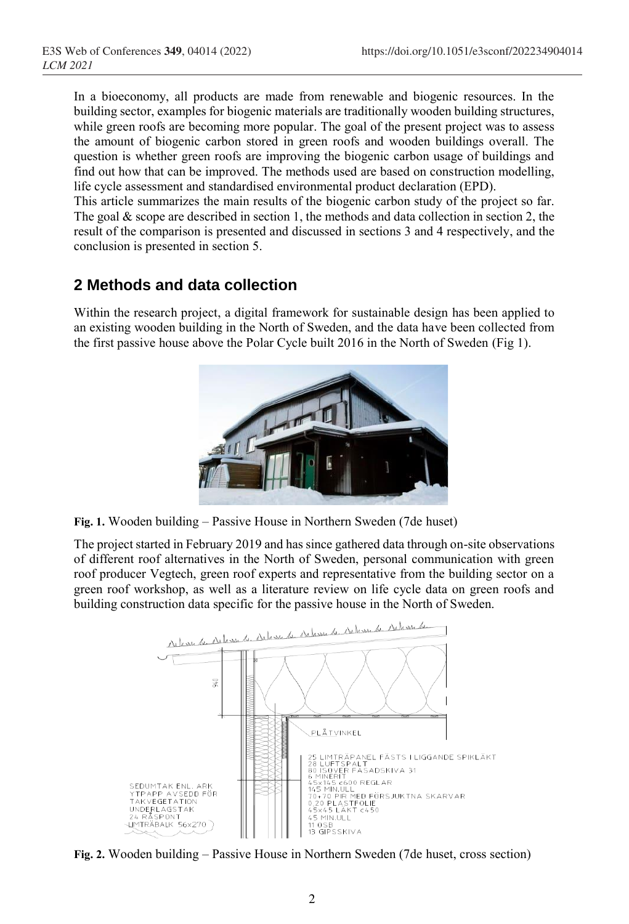In a bioeconomy, all products are made from renewable and biogenic resources. In the building sector, examples for biogenic materials are traditionally wooden building structures, while green roofs are becoming more popular. The goal of the present project was to assess the amount of biogenic carbon stored in green roofs and wooden buildings overall. The question is whether green roofs are improving the biogenic carbon usage of buildings and find out how that can be improved. The methods used are based on construction modelling, life cycle assessment and standardised environmental product declaration (EPD).

This article summarizes the main results of the biogenic carbon study of the project so far. The goal  $\&$  scope are described in section 1, the methods and data collection in section 2, the result of the comparison is presented and discussed in sections 3 and 4 respectively, and the conclusion is presented in section 5.

# **2 Methods and data collection**

Within the research project, a digital framework for sustainable design has been applied to an existing wooden building in the North of Sweden, and the data have been collected from the first passive house above the Polar Cycle built 2016 in the North of Sweden (Fig 1).



**Fig. 1.** Wooden building – Passive House in Northern Sweden (7de huset)

The project started in February 2019 and has since gathered data through on-site observations of different roof alternatives in the North of Sweden, personal communication with green roof producer Vegtech, green roof experts and representative from the building sector on a green roof workshop, as well as a literature review on life cycle data on green roofs and building construction data specific for the passive house in the North of Sweden.



**Fig. 2.** Wooden building – Passive House in Northern Sweden (7de huset, cross section)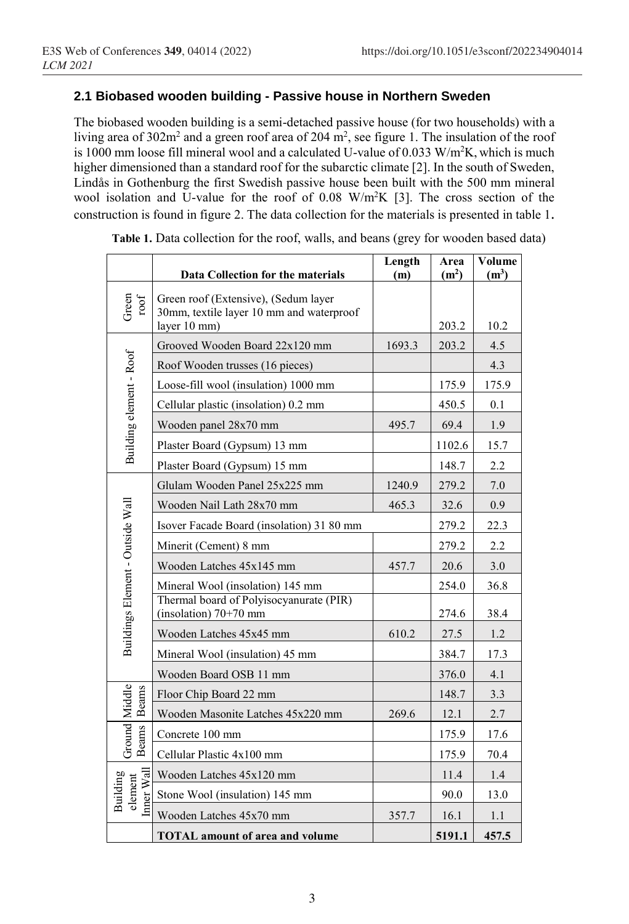#### **2.1 Biobased wooden building - Passive house in Northern Sweden**

The biobased wooden building is a semi-detached passive house (for two households) with a living area of 302m<sup>2</sup> and a green roof area of 204 m<sup>2</sup>, see figure 1. The insulation of the roof is 1000 mm loose fill mineral wool and a calculated U-value of 0.033 W/m<sup>2</sup>K, which is much higher dimensioned than a standard roof for the subarctic climate [2]. In the south of Sweden, Lindås in Gothenburg the first Swedish passive house been built with the 500 mm mineral wool isolation and U-value for the roof of 0.08 W/m<sup>2</sup>K [3]. The cross section of the construction is found in figure 2. The data collection for the materials is presented in table 1.

|                                               | Data Collection for the materials                                                                | Length<br>(m) | Area<br>(m <sup>2</sup> ) | Volume<br>$(m^3)$ |
|-----------------------------------------------|--------------------------------------------------------------------------------------------------|---------------|---------------------------|-------------------|
| Green<br>$\operatorname*{root}$               | Green roof (Extensive), (Sedum layer<br>30mm, textile layer 10 mm and waterproof<br>layer 10 mm) |               | 203.2                     | 10.2              |
|                                               | Grooved Wooden Board 22x120 mm                                                                   | 1693.3        | 203.2                     | 4.5               |
| Building element - Roof                       | Roof Wooden trusses (16 pieces)                                                                  |               |                           | 4.3               |
|                                               | Loose-fill wool (insulation) 1000 mm                                                             |               | 175.9                     | 175.9             |
|                                               | Cellular plastic (insolation) 0.2 mm                                                             |               | 450.5                     | 0.1               |
|                                               | Wooden panel 28x70 mm                                                                            | 495.7         | 69.4                      | 1.9               |
|                                               | Plaster Board (Gypsum) 13 mm                                                                     |               | 1102.6                    | 15.7              |
|                                               | Plaster Board (Gypsum) 15 mm                                                                     |               | 148.7                     | 2.2               |
|                                               | Glulam Wooden Panel 25x225 mm                                                                    | 1240.9        | 279.2                     | 7.0               |
|                                               | Wooden Nail Lath 28x70 mm                                                                        | 465.3         | 32.6                      | 0.9               |
|                                               | Isover Facade Board (insolation) 31 80 mm                                                        |               | 279.2                     | 22.3              |
|                                               | Minerit (Cement) 8 mm                                                                            |               | 279.2                     | 2.2               |
|                                               | Wooden Latches 45x145 mm                                                                         | 457.7         | 20.6                      | 3.0               |
|                                               | Mineral Wool (insolation) 145 mm                                                                 |               | 254.0                     | 36.8              |
| Buildings Element - Outside Wall              | Thermal board of Polyisocyanurate (PIR)<br>(insolation) $70+70$ mm                               |               | 274.6                     | 38.4              |
|                                               | Wooden Latches 45x45 mm                                                                          | 610.2         | 27.5                      | 1.2               |
|                                               | Mineral Wool (insulation) 45 mm                                                                  |               | 384.7                     | 17.3              |
|                                               | Wooden Board OSB 11 mm                                                                           |               | 376.0                     | 4.1               |
| Ground Middle<br><b>Beams</b><br><b>Beams</b> | Floor Chip Board 22 mm                                                                           |               | 148.7                     | 3.3               |
|                                               | Wooden Masonite Latches 45x220 mm                                                                | 269.6         | 12.1                      | 2.7               |
|                                               | Concrete 100 mm                                                                                  |               | 175.9                     | 17.6              |
|                                               | Cellular Plastic 4x100 mm                                                                        |               | 175.9                     | 70.4              |
| Inner Wal<br>Building<br>element              | Wooden Latches 45x120 mm                                                                         |               | 11.4                      | 1.4               |
|                                               | Stone Wool (insulation) 145 mm                                                                   |               | 90.0                      | 13.0              |
|                                               | Wooden Latches 45x70 mm                                                                          | 357.7         | 16.1                      | 1.1               |
|                                               | <b>TOTAL</b> amount of area and volume                                                           |               | 5191.1                    | 457.5             |

**Table 1.** Data collection for the roof, walls, and beans (grey for wooden based data)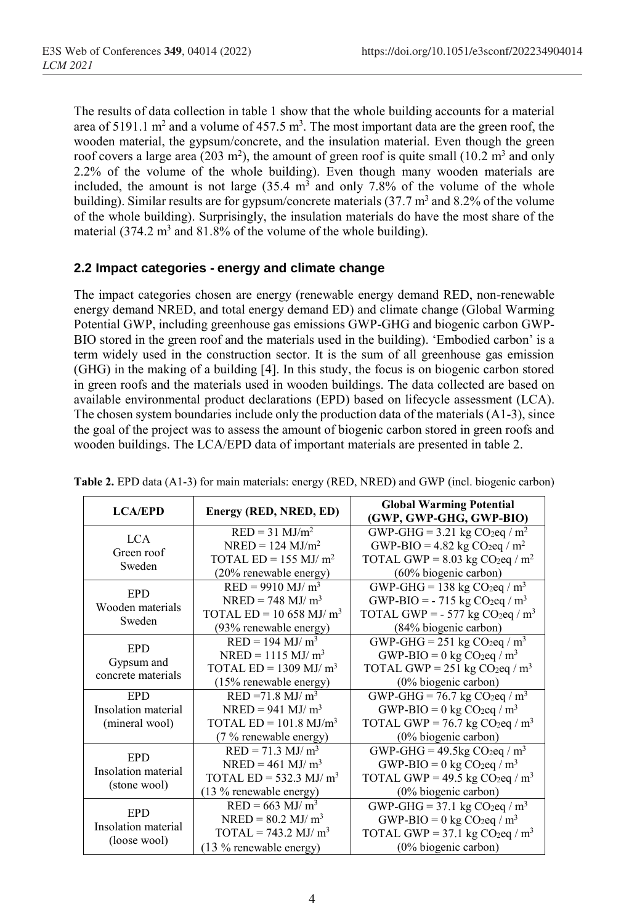The results of data collection in table 1 show that the whole building accounts for a material area of 5191.1 m<sup>2</sup> and a volume of 457.5 m<sup>3</sup>. The most important data are the green roof, the wooden material, the gypsum/concrete, and the insulation material. Even though the green roof covers a large area (203 m<sup>2</sup>), the amount of green roof is quite small (10.2 m<sup>3</sup> and only 2.2% of the volume of the whole building). Even though many wooden materials are included, the amount is not large  $(35.4 \text{ m}^3 \text{ and only } 7.8\%$  of the volume of the whole building). Similar results are for gypsum/concrete materials  $(37.7 \text{ m}^3 \text{ and } 8.2\% \text{ of the volume})$ of the whole building). Surprisingly, the insulation materials do have the most share of the material  $(374.2 \text{ m}^3 \text{ and } 81.8\% \text{ of the volume of the whole building}).$ 

#### **2.2 Impact categories - energy and climate change**

The impact categories chosen are energy (renewable energy demand RED, non-renewable energy demand NRED, and total energy demand ED) and climate change (Global Warming Potential GWP, including greenhouse gas emissions GWP-GHG and biogenic carbon GWP-BIO stored in the green roof and the materials used in the building). 'Embodied carbon' is a term widely used in the construction sector. It is the sum of all greenhouse gas emission (GHG) in the making of a building [4]. In this study, the focus is on biogenic carbon stored in green roofs and the materials used in wooden buildings. The data collected are based on available environmental product declarations (EPD) based on lifecycle assessment (LCA). The chosen system boundaries include only the production data of the materials (A1-3), since the goal of the project was to assess the amount of biogenic carbon stored in green roofs and wooden buildings. The LCA/EPD data of important materials are presented in table 2.

| <b>LCA/EPD</b>      | Energy (RED, NRED, ED)               | <b>Global Warming Potential</b><br>(GWP, GWP-GHG, GWP-BIO) |
|---------------------|--------------------------------------|------------------------------------------------------------|
| LCA.                | $RED = 31$ MJ/m <sup>2</sup>         | GWP-GHG = $3.21$ kg CO <sub>2</sub> eq / m <sup>2</sup>    |
| Green roof          | $NRED = 124$ $MJ/m2$                 | GWP-BIO = 4.82 kg CO <sub>2</sub> eq / m <sup>2</sup>      |
| Sweden              | TOTAL $ED = 155$ MJ/ $m2$            | TOTAL GWP = $8.03$ kg CO <sub>2</sub> eq / m <sup>2</sup>  |
|                     | (20% renewable energy)               | (60% biogenic carbon)                                      |
| <b>EPD</b>          | $RED = 9910$ MJ/ $m3$                | GWP-GHG = 138 kg $CO2$ eq / m <sup>3</sup>                 |
| Wooden materials    | $NRED = 748$ MJ/ m <sup>3</sup>      | GWP-BIO = $-715$ kg CO <sub>2</sub> eq / m <sup>3</sup>    |
| Sweden              | TOTAL ED = 10 658 MJ/ $m3$           | TOTAL GWP = $-577$ kg CO <sub>2</sub> eq / m <sup>3</sup>  |
|                     | (93% renewable energy)               | (84% biogenic carbon)                                      |
| <b>EPD</b>          | $RED = 194$ MJ/ $m3$                 | GWP-GHG = $251 \text{ kg CO}_2$ eq / m <sup>3</sup>        |
| Gypsum and          | $NRED = 1115 \text{ MJ/m}^3$         | GWP-BIO = $0 \text{ kg CO}_2$ eq / m <sup>3</sup>          |
| concrete materials  | TOTAL $ED = 1309$ MJ/ $m3$           | TOTAL GWP = 251 kg CO <sub>2</sub> eq / m <sup>3</sup>     |
|                     | (15% renewable energy)               | (0% biogenic carbon)                                       |
| <b>EPD</b>          | $RED = 71.8$ MJ/ $m3$                | GWP-GHG = $76.7$ kg CO <sub>2</sub> eq / m <sup>3</sup>    |
| Insolation material | $NRED = 941$ MJ/ m <sup>3</sup>      | GWP-BIO = $0 \text{ kg CO}_2$ eq / m <sup>3</sup>          |
| (mineral wool)      | TOTAL $ED = 101.8$ MJ/m <sup>3</sup> | TOTAL GWP = 76.7 kg CO <sub>2</sub> eq / m <sup>3</sup>    |
|                     | $(7\%$ renewable energy)             | (0% biogenic carbon)                                       |
| <b>EPD</b>          | $RED = 71.3$ MJ/ $m3$                | GWP-GHG = $49.5$ kg CO <sub>2</sub> eq / m <sup>3</sup>    |
| Insolation material | $NRED = 461$ MJ/ m <sup>3</sup>      | GWP-BIO = $0 \text{ kg CO}_2$ eq / m <sup>3</sup>          |
| (stone wool)        | TOTAL ED = $532.3$ MJ/m <sup>3</sup> | TOTAL GWP = 49.5 kg $CO_2$ eq / m <sup>3</sup>             |
|                     | (13 % renewable energy)              | (0% biogenic carbon)                                       |
| <b>EPD</b>          | $RED = 663$ MJ/ $m3$                 | GWP-GHG = 37.1 kg CO <sub>2</sub> eq / $m3$                |
| Insolation material | $NRED = 80.2$ MJ/ m <sup>3</sup>     | GWP-BIO = $0 \text{ kg CO}_2$ eq / m <sup>3</sup>          |
| (loose wool)        | TOTAL = $743.2$ MJ/ m <sup>3</sup>   | TOTAL GWP = 37.1 kg CO <sub>2</sub> eq / $m3$              |
|                     | $(13\%$ renewable energy)            | (0% biogenic carbon)                                       |

|  | Table 2. EPD data (A1-3) for main materials: energy (RED, NRED) and GWP (incl. biogenic carbon) |  |  |
|--|-------------------------------------------------------------------------------------------------|--|--|
|--|-------------------------------------------------------------------------------------------------|--|--|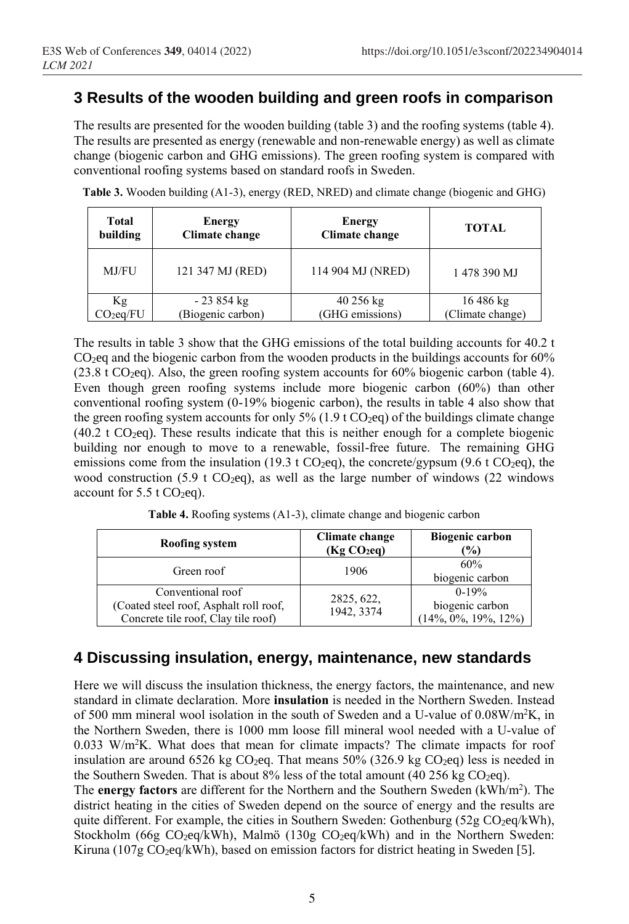# **3 Results of the wooden building and green roofs in comparison**

The results are presented for the wooden building (table 3) and the roofing systems (table 4). The results are presented as energy (renewable and non-renewable energy) as well as climate change (biogenic carbon and GHG emissions). The green roofing system is compared with conventional roofing systems based on standard roofs in Sweden.

| Total<br>building     | <b>Energy</b><br><b>Climate change</b> | <b>Energy</b><br>Climate change | <b>TOTAL</b>     |
|-----------------------|----------------------------------------|---------------------------------|------------------|
| MJ/FU                 | 121 347 MJ (RED)                       | 114 904 MJ (NRED)               | 1478 390 MJ      |
| Кg                    | $-23854$ kg                            | 40 256 kg                       | 16 486 kg        |
| CO <sub>2</sub> eq/FU | (Biogenic carbon)                      | (GHG emissions)                 | (Climate change) |

**Table 3.** Wooden building (A1-3), energy (RED, NRED) and climate change (biogenic and GHG)

The results in table 3 show that the GHG emissions of the total building accounts for 40.2 t  $CO<sub>2</sub>$ eq and the biogenic carbon from the wooden products in the buildings accounts for 60%  $(23.8 \text{ t } CO_2$ eq). Also, the green roofing system accounts for 60% biogenic carbon (table 4). Even though green roofing systems include more biogenic carbon (60%) than other conventional roofing system (0-19% biogenic carbon), the results in table 4 also show that the green roofing system accounts for only 5% (1.9 t  $CO<sub>2</sub>eq$ ) of the buildings climate change  $(40.2 \text{ t } CO<sub>2</sub>$ eq). These results indicate that this is neither enough for a complete biogenic building nor enough to move to a renewable, fossil-free future. The remaining GHG emissions come from the insulation (19.3 t CO<sub>2</sub>eq), the concrete/gypsum (9.6 t CO<sub>2</sub>eq), the wood construction (5.9 t CO<sub>2</sub>eq), as well as the large number of windows (22 windows account for  $5.5$  t CO<sub>2</sub>eq).

**Table 4.** Roofing systems (A1-3), climate change and biogenic carbon

| Roofing system                                                                                     | Climate change<br>(Kg CO <sub>2</sub> eq) | <b>Biogenic carbon</b><br>$\frac{9}{0}$                 |
|----------------------------------------------------------------------------------------------------|-------------------------------------------|---------------------------------------------------------|
| Green roof                                                                                         | 1906                                      | 60%<br>biogenic carbon                                  |
| Conventional roof<br>(Coated steel roof, Asphalt roll roof,<br>Concrete tile roof, Clay tile roof) | 2825, 622,<br>1942, 3374                  | $0-19%$<br>biogenic carbon<br>$(14\%, 0\%, 19\%, 12\%)$ |

### **4 Discussing insulation, energy, maintenance, new standards**

Here we will discuss the insulation thickness, the energy factors, the maintenance, and new standard in climate declaration. More **insulation** is needed in the Northern Sweden. Instead of 500 mm mineral wool isolation in the south of Sweden and a U-value of 0.08W/m<sup>2</sup>K, in the Northern Sweden, there is 1000 mm loose fill mineral wool needed with a U-value of  $0.033$  W/m<sup>2</sup>K. What does that mean for climate impacts? The climate impacts for roof insulation are around 6526 kg  $CO<sub>2</sub>$ eq. That means 50% (326.9 kg  $CO<sub>2</sub>$ eq) less is needed in the Southern Sweden. That is about  $8\%$  less of the total amount (40 256 kg CO<sub>2</sub>eq).

The **energy factors** are different for the Northern and the Southern Sweden (kWh/m<sup>2</sup> ). The district heating in the cities of Sweden depend on the source of energy and the results are quite different. For example, the cities in Southern Sweden: Gothenburg ( $52g \text{ CO}_2$ eq/kWh), Stockholm (66g CO<sub>2</sub>eq/kWh), Malmö (130g CO<sub>2</sub>eq/kWh) and in the Northern Sweden: Kiruna (107g  $CO_2$ eq/kWh), based on emission factors for district heating in Sweden [5].